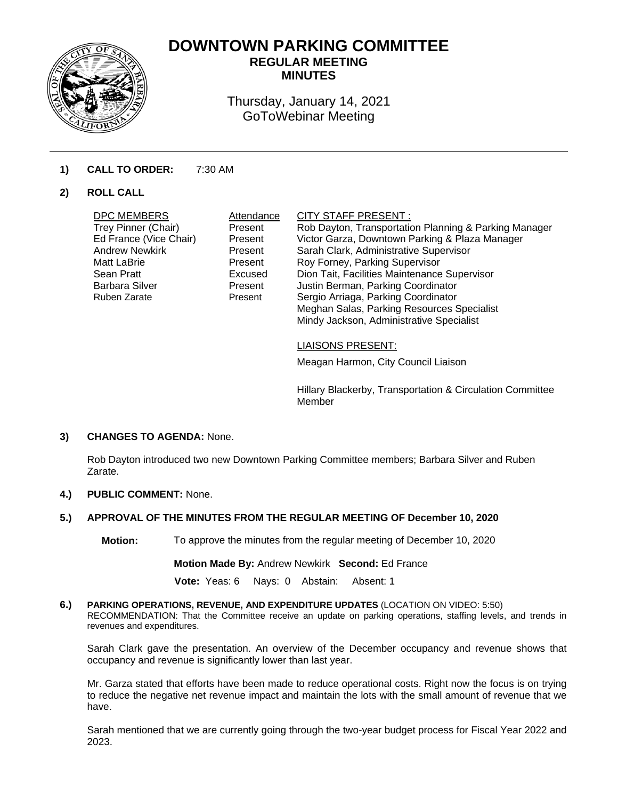

# **DOWNTOWN PARKING COMMITTEE REGULAR MEETING**

**MINUTES** 

Thursday, January 14, 2021 GoToWebinar Meeting

## **1) CALL TO ORDER:** 7:30 AM

## **2) ROLL CALL**

| <b>DPC MEMBERS</b><br>Trey Pinner (Chair)<br>Ed France (Vice Chair)<br><b>Andrew Newkirk</b><br>Matt LaBrie<br>Sean Pratt<br>Barbara Silver<br>Ruben Zarate | Attendance<br>Present<br>Present<br>Present<br>Present<br>Excused<br>Present<br>Present | <b>CITY STAFF PRESENT:</b><br>Rob Dayton, Transportation Planning & Parking Manager<br>Victor Garza, Downtown Parking & Plaza Manager<br>Sarah Clark, Administrative Supervisor<br>Roy Forney, Parking Supervisor<br>Dion Tait, Facilities Maintenance Supervisor<br>Justin Berman, Parking Coordinator<br>Sergio Arriaga, Parking Coordinator<br>Meghan Salas, Parking Resources Specialist<br>Mindy Jackson, Administrative Specialist |
|-------------------------------------------------------------------------------------------------------------------------------------------------------------|-----------------------------------------------------------------------------------------|------------------------------------------------------------------------------------------------------------------------------------------------------------------------------------------------------------------------------------------------------------------------------------------------------------------------------------------------------------------------------------------------------------------------------------------|
|                                                                                                                                                             |                                                                                         |                                                                                                                                                                                                                                                                                                                                                                                                                                          |
|                                                                                                                                                             |                                                                                         |                                                                                                                                                                                                                                                                                                                                                                                                                                          |

### LIAISONS PRESENT:

Meagan Harmon, City Council Liaison

Hillary Blackerby, Transportation & Circulation Committee Member

### **3) CHANGES TO AGENDA:** None.

Rob Dayton introduced two new Downtown Parking Committee members; Barbara Silver and Ruben Zarate.

## **4.) PUBLIC COMMENT:** None.

## **5.) APPROVAL OF THE MINUTES FROM THE REGULAR MEETING OF December 10, 2020**

**Motion:** To approve the minutes from the regular meeting of December 10, 2020

**Motion Made By:** Andrew Newkirk **Second:** Ed France

**Vote:** Yeas: 6 Nays: 0 Abstain: Absent: 1

**6.) PARKING OPERATIONS, REVENUE, AND EXPENDITURE UPDATES** (LOCATION ON VIDEO: 5:50) RECOMMENDATION: That the Committee receive an update on parking operations, staffing levels, and trends in revenues and expenditures.

Sarah Clark gave the presentation. An overview of the December occupancy and revenue shows that occupancy and revenue is significantly lower than last year.

Mr. Garza stated that efforts have been made to reduce operational costs. Right now the focus is on trying to reduce the negative net revenue impact and maintain the lots with the small amount of revenue that we have.

Sarah mentioned that we are currently going through the two-year budget process for Fiscal Year 2022 and 2023.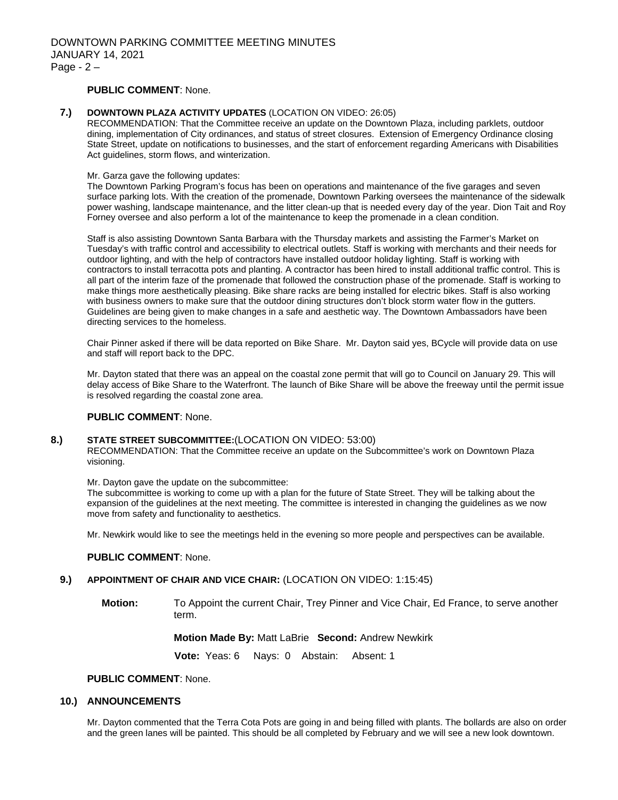### **PUBLIC COMMENT**: None.

#### **7.) DOWNTOWN PLAZA ACTIVITY UPDATES** (LOCATION ON VIDEO: 26:05)

RECOMMENDATION: That the Committee receive an update on the Downtown Plaza, including parklets, outdoor dining, implementation of City ordinances, and status of street closures. Extension of Emergency Ordinance closing State Street, update on notifications to businesses, and the start of enforcement regarding Americans with Disabilities Act guidelines, storm flows, and winterization.

#### Mr. Garza gave the following updates:

The Downtown Parking Program's focus has been on operations and maintenance of the five garages and seven surface parking lots. With the creation of the promenade, Downtown Parking oversees the maintenance of the sidewalk power washing, landscape maintenance, and the litter clean-up that is needed every day of the year. Dion Tait and Roy Forney oversee and also perform a lot of the maintenance to keep the promenade in a clean condition.

Staff is also assisting Downtown Santa Barbara with the Thursday markets and assisting the Farmer's Market on Tuesday's with traffic control and accessibility to electrical outlets. Staff is working with merchants and their needs for outdoor lighting, and with the help of contractors have installed outdoor holiday lighting. Staff is working with contractors to install terracotta pots and planting. A contractor has been hired to install additional traffic control. This is all part of the interim faze of the promenade that followed the construction phase of the promenade. Staff is working to make things more aesthetically pleasing. Bike share racks are being installed for electric bikes. Staff is also working with business owners to make sure that the outdoor dining structures don't block storm water flow in the gutters. Guidelines are being given to make changes in a safe and aesthetic way. The Downtown Ambassadors have been directing services to the homeless.

Chair Pinner asked if there will be data reported on Bike Share. Mr. Dayton said yes, BCycle will provide data on use and staff will report back to the DPC.

Mr. Dayton stated that there was an appeal on the coastal zone permit that will go to Council on January 29. This will delay access of Bike Share to the Waterfront. The launch of Bike Share will be above the freeway until the permit issue is resolved regarding the coastal zone area.

#### **PUBLIC COMMENT**: None.

#### **8.) STATE STREET SUBCOMMITTEE:**(LOCATION ON VIDEO: 53:00)

RECOMMENDATION: That the Committee receive an update on the Subcommittee's work on Downtown Plaza visioning.

Mr. Dayton gave the update on the subcommittee:

The subcommittee is working to come up with a plan for the future of State Street. They will be talking about the expansion of the guidelines at the next meeting. The committee is interested in changing the guidelines as we now move from safety and functionality to aesthetics.

Mr. Newkirk would like to see the meetings held in the evening so more people and perspectives can be available.

#### **PUBLIC COMMENT**: None.

### **9.) APPOINTMENT OF CHAIR AND VICE CHAIR:** (LOCATION ON VIDEO: 1:15:45)

**Motion:** To Appoint the current Chair, Trey Pinner and Vice Chair, Ed France, to serve another term.

#### **Motion Made By:** Matt LaBrie **Second:** Andrew Newkirk

 **Vote:** Yeas: 6 Nays: 0 Abstain: Absent: 1

## **PUBLIC COMMENT**: None.

#### **10.) ANNOUNCEMENTS**

Mr. Dayton commented that the Terra Cota Pots are going in and being filled with plants. The bollards are also on order and the green lanes will be painted. This should be all completed by February and we will see a new look downtown.